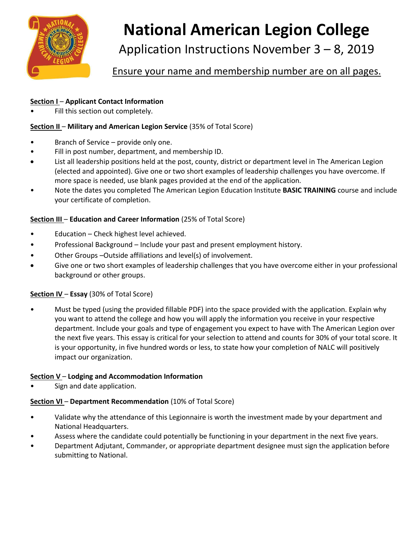

# **National American Legion College**

Application Instructions November 3 – 8, 2019

Ensure your name and membership number are on all pages.

#### **Section I** – **Applicant Contact Information**

Fill this section out completely.

#### **Section II – Military and American Legion Service (35% of Total Score)**

- Branch of Service provide only one.
- Fill in post number, department, and membership ID.
- List all leadership positions held at the post, county, district or department level in The American Legion (elected and appointed). Give one or two short examples of leadership challenges you have overcome. If more space is needed, use blank pages provided at the end of the application.
- Note the dates you completed The American Legion Education Institute **BASIC TRAINING** course and include your certificate of completion.

#### **Section III** – **Education and Career Information** (25% of Total Score)

- Education Check highest level achieved.
- Professional Background Include your past and present employment history.
- Other Groups –Outside affiliations and level(s) of involvement.
- Give one or two short examples of leadership challenges that you have overcome either in your professional background or other groups.

## **Section IV** – **Essay** (30% of Total Score)

• Must be typed (using the provided fillable PDF) into the space provided with the application. Explain why you want to attend the college and how you will apply the information you receive in your respective department. Include your goals and type of engagement you expect to have with The American Legion over the next five years. This essay is critical for your selection to attend and counts for 30% of your total score. It is your opportunity, in five hundred words or less, to state how your completion of NALC will positively impact our organization.

#### **Section V** – **Lodging and Accommodation Information**

Sign and date application.

## **Section VI – Department Recommendation** (10% of Total Score)

- Validate why the attendance of this Legionnaire is worth the investment made by your department and National Headquarters.
- Assess where the candidate could potentially be functioning in your department in the next five years.
- Department Adjutant, Commander, or appropriate department designee must sign the application before submitting to National.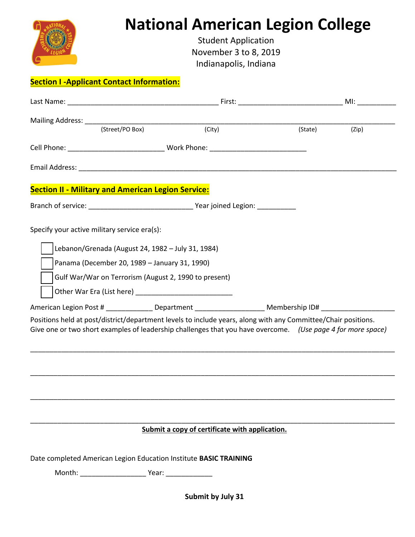|                                                           | <b>National American Legion College</b><br><b>Student Application</b><br>November 3 to 8, 2019<br>Indianapolis, Indiana                                                                                                      |                  |  |
|-----------------------------------------------------------|------------------------------------------------------------------------------------------------------------------------------------------------------------------------------------------------------------------------------|------------------|--|
| <b>Section I-Applicant Contact Information:</b>           |                                                                                                                                                                                                                              |                  |  |
|                                                           |                                                                                                                                                                                                                              |                  |  |
|                                                           | Mailing Address: (Street/PO Box) (City)                                                                                                                                                                                      | (Zip)<br>(State) |  |
|                                                           | Cell Phone: ___________________________________ Work Phone: _____________________                                                                                                                                            |                  |  |
|                                                           |                                                                                                                                                                                                                              |                  |  |
| <b>Section II - Military and American Legion Service:</b> |                                                                                                                                                                                                                              |                  |  |
|                                                           |                                                                                                                                                                                                                              |                  |  |
| Panama (December 20, 1989 - January 31, 1990)             | Gulf War/War on Terrorism (August 2, 1990 to present)<br>American Legion Post # ______________ Department _______________________ Membership ID# _____________________                                                       |                  |  |
|                                                           | Positions held at post/district/department levels to include years, along with any Committee/Chair positions.<br>Give one or two short examples of leadership challenges that you have overcome. (Use page 4 for more space) |                  |  |
|                                                           | Submit a copy of certificate with application.<br>Date completed American Legion Education Institute BASIC TRAINING                                                                                                          |                  |  |
|                                                           | Submit by July 31                                                                                                                                                                                                            |                  |  |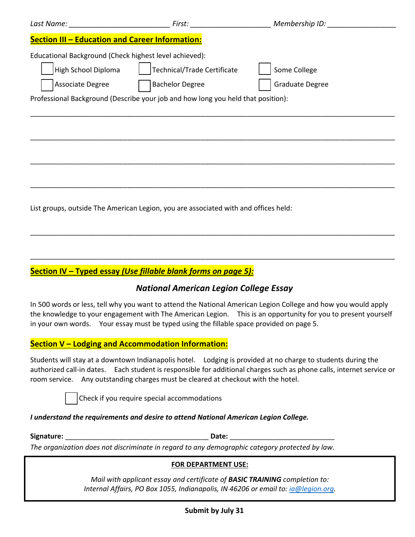|                                                                                                   | <b>First:</b> The contract of the contract of the contract of the contract of the contract of the contract of the contract of the contract of the contract of the contract of the contract of the contract of the contract of the c | Membership ID:                         |  |
|---------------------------------------------------------------------------------------------------|-------------------------------------------------------------------------------------------------------------------------------------------------------------------------------------------------------------------------------------|----------------------------------------|--|
| <b>Section III - Education and Career Information:</b>                                            |                                                                                                                                                                                                                                     |                                        |  |
| Educational Background (Check highest level achieved):<br>High School Diploma<br>Associate Degree | Technical/Trade Certificate<br><b>Bachelor Degree</b><br>Professional Background (Describe your job and how long you held that position):                                                                                           | Some College<br><b>Graduate Degree</b> |  |
|                                                                                                   |                                                                                                                                                                                                                                     |                                        |  |
|                                                                                                   |                                                                                                                                                                                                                                     |                                        |  |
|                                                                                                   | List groups, outside The American Legion, you are associated with and offices held:                                                                                                                                                 |                                        |  |

# **Section IV – Typed essay** *(Use fillable blank forms on page 5):*

# *National American Legion College Essay*

\_\_\_\_\_\_\_\_\_\_\_\_\_\_\_\_\_\_\_\_\_\_\_\_\_\_\_\_\_\_\_\_\_\_\_\_\_\_\_\_\_\_\_\_\_\_\_\_\_\_\_\_\_\_\_\_\_\_\_\_\_\_\_\_\_\_\_\_\_\_\_\_\_\_\_\_\_\_\_\_\_\_\_\_\_\_\_\_\_\_\_\_\_\_

\_\_\_\_\_\_\_\_\_\_\_\_\_\_\_\_\_\_\_\_\_\_\_\_\_\_\_\_\_\_\_\_\_\_\_\_\_\_\_\_\_\_\_\_\_\_\_\_\_\_\_\_\_\_\_\_\_\_\_\_\_\_\_\_\_\_\_\_\_\_\_\_\_\_\_\_\_\_\_\_\_\_\_\_\_\_\_\_\_\_\_\_\_\_

In 500 words or less, tell why you want to attend the National American Legion College and how you would apply the knowledge to your engagement with The American Legion. This is an opportunity for you to present yourself in your own words. Your essay must be typed using the fillable space provided on page 5.

# **Section V – Lodging and Accommodation Information:**

Students will stay at a downtown Indianapolis hotel. Lodging is provided at no charge to students during the authorized call-in dates. Each student is responsible for additional charges such as phone calls, internet service or room service. Any outstanding charges must be cleared at checkout with the hotel.

Check if you require special accommodations

## *I understand the requirements and desire to attend National American Legion College.*

| Signature: | ,,,, |
|------------|------|
|------------|------|

*The organization does not discriminate in regard to any demographic category protected by law.* 

## **FOR DEPARTMENT USE:**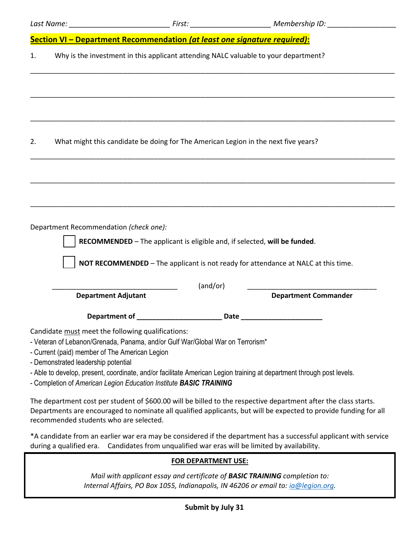|    |                                                                                                                       |          | Last Name: ______________________________First: _____________________________Membership ID: __________________                                                                                                                 |
|----|-----------------------------------------------------------------------------------------------------------------------|----------|--------------------------------------------------------------------------------------------------------------------------------------------------------------------------------------------------------------------------------|
|    | Section VI - Department Recommendation (at least one signature required):                                             |          |                                                                                                                                                                                                                                |
| 1. | Why is the investment in this applicant attending NALC valuable to your department?                                   |          |                                                                                                                                                                                                                                |
|    |                                                                                                                       |          |                                                                                                                                                                                                                                |
|    |                                                                                                                       |          |                                                                                                                                                                                                                                |
|    |                                                                                                                       |          |                                                                                                                                                                                                                                |
|    |                                                                                                                       |          |                                                                                                                                                                                                                                |
| 2. | What might this candidate be doing for The American Legion in the next five years?                                    |          |                                                                                                                                                                                                                                |
|    |                                                                                                                       |          |                                                                                                                                                                                                                                |
|    |                                                                                                                       |          |                                                                                                                                                                                                                                |
|    |                                                                                                                       |          |                                                                                                                                                                                                                                |
|    |                                                                                                                       |          |                                                                                                                                                                                                                                |
|    |                                                                                                                       |          |                                                                                                                                                                                                                                |
|    | Department Recommendation (check one):                                                                                |          |                                                                                                                                                                                                                                |
|    | RECOMMENDED - The applicant is eligible and, if selected, will be funded.                                             |          |                                                                                                                                                                                                                                |
|    | NOT RECOMMENDED - The applicant is not ready for attendance at NALC at this time.                                     |          |                                                                                                                                                                                                                                |
|    |                                                                                                                       | (and/or) |                                                                                                                                                                                                                                |
|    | <b>Department Adjutant</b>                                                                                            |          | <b>Department Commander</b>                                                                                                                                                                                                    |
|    | Department of <b>Exercise 2018</b>                                                                                    |          | Date the contract of the contract of the contract of the contract of the contract of the contract of the contract of the contract of the contract of the contract of the contract of the contract of the contract of the contr |
|    | Candidate must meet the following qualifications:                                                                     |          |                                                                                                                                                                                                                                |
|    | - Veteran of Lebanon/Grenada, Panama, and/or Gulf War/Global War on Terrorism*                                        |          |                                                                                                                                                                                                                                |
|    | - Current (paid) member of The American Legion<br>- Demonstrated leadership potential                                 |          |                                                                                                                                                                                                                                |
|    | - Able to develop, present, coordinate, and/or facilitate American Legion training at department through post levels. |          |                                                                                                                                                                                                                                |

- Completion of *American Legion Education Institute BASIC TRAINING* 

The department cost per student of \$600.00 will be billed to the respective department after the class starts. Departments are encouraged to nominate all qualified applicants, but will be expected to provide funding for all recommended students who are selected.

\*A candidate from an earlier war era may be considered if the department has a successful applicant with service during a qualified era. Candidates from unqualified war eras will be limited by availability.

#### **FOR DEPARTMENT USE:**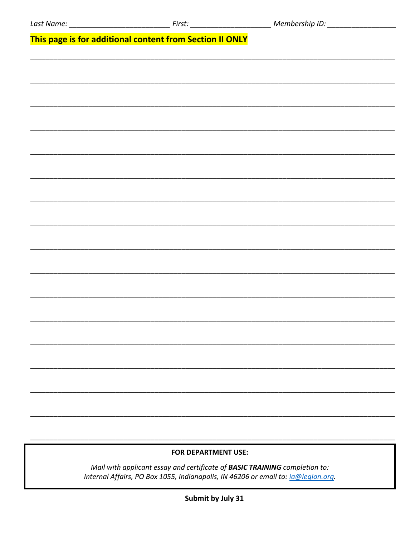This page is for additional content from Section II ONLY

# **FOR DEPARTMENT USE:**